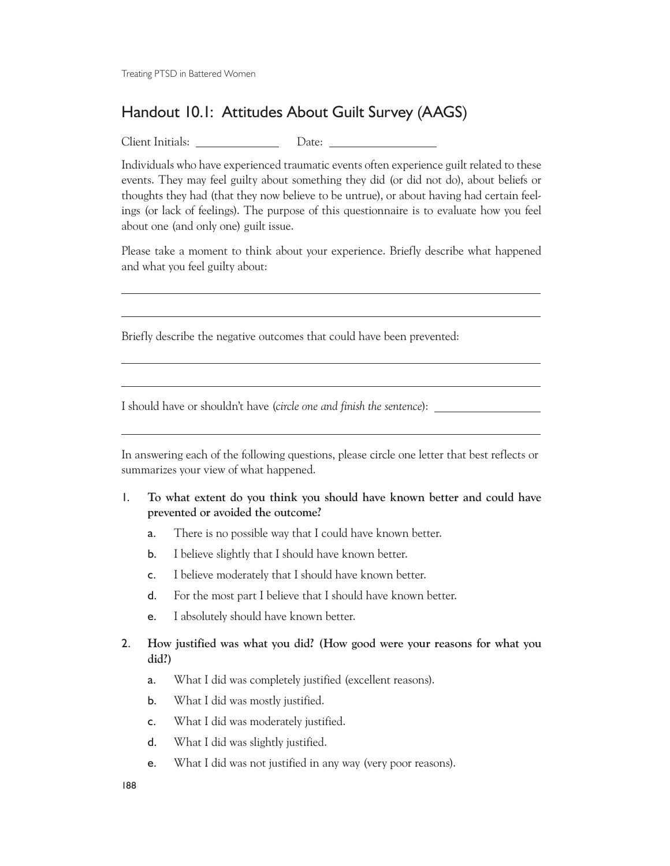Treating PTSD in Battered Women

## Handout 10.1: Attitudes About Guilt Survey (AAGS)

Client Initials: Date:

 $\overline{a}$ 

 $\overline{a}$ 

 $\overline{a}$ 

Individuals who have experienced traumatic events often experience guilt related to these events. They may feel guilty about something they did (or did not do), about beliefs or thoughts they had (that they now believe to be untrue), or about having had certain feelings (or lack of feelings). The purpose of this questionnaire is to evaluate how you feel about one (and only one) guilt issue.

Please take a moment to think about your experience. Briefly describe what happened and what you feel guilty about:

Briefly describe the negative outcomes that could have been prevented:

I should have or shouldn't have (*circle one and finish the sentence*):

In answering each of the following questions, please circle one letter that best reflects or summarizes your view of what happened.

- 1. **To what extent do you think you should have known better and could have prevented or avoided the outcome?**
	- a. There is no possible way that I could have known better.
	- b. I believe slightly that I should have known better.
	- c. I believe moderately that I should have known better.
	- d. For the most part I believe that I should have known better.
	- e. I absolutely should have known better.

## 2. **How justified was what you did? (How good were your reasons for what you did?)**

- a. What I did was completely justified (excellent reasons).
- b. What I did was mostly justified.
- c. What I did was moderately justified.
- d. What I did was slightly justified.
- e. What I did was not justified in any way (very poor reasons).